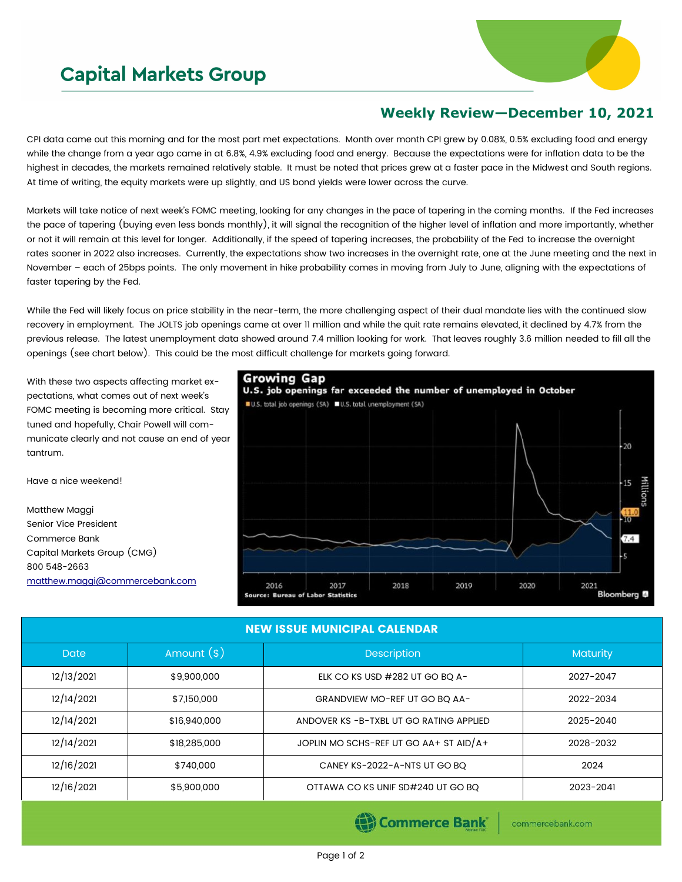## **Capital Markets Group**



## **Weekly Review—December 10, 2021**

CPI data came out this morning and for the most part met expectations. Month over month CPI grew by 0.08%, 0.5% excluding food and energy while the change from a year ago came in at 6.8%, 4.9% excluding food and energy. Because the expectations were for inflation data to be the highest in decades, the markets remained relatively stable. It must be noted that prices grew at a faster pace in the Midwest and South regions. At time of writing, the equity markets were up slightly, and US bond yields were lower across the curve.

Markets will take notice of next week's FOMC meeting, looking for any changes in the pace of tapering in the coming months. If the Fed increases the pace of tapering (buying even less bonds monthly), it will signal the recognition of the higher level of inflation and more importantly, whether or not it will remain at this level for longer. Additionally, if the speed of tapering increases, the probability of the Fed to increase the overnight rates sooner in 2022 also increases. Currently, the expectations show two increases in the overnight rate, one at the June meeting and the next in November – each of 25bps points. The only movement in hike probability comes in moving from July to June, aligning with the expectations of faster tapering by the Fed.

While the Fed will likely focus on price stability in the near-term, the more challenging aspect of their dual mandate lies with the continued slow recovery in employment. The JOLTS job openings came at over 11 million and while the quit rate remains elevated, it declined by 4.7% from the previous release. The latest unemployment data showed around 7.4 million looking for work. That leaves roughly 3.6 million needed to fill all the openings (see chart below). This could be the most difficult challenge for markets going forward.

With these two aspects affecting market expectations, what comes out of next week's FOMC meeting is becoming more critical. Stay tuned and hopefully, Chair Powell will communicate clearly and not cause an end of year tantrum.

Have a nice weekend!

Capital Markets Group (CMG)

[matthew.maggi@commercebank.com](mailto:matthew.maggi@commercebank.com)

Matthew Maggi Senior Vice President Commerce Bank

800 548-2663



| <b>NEW ISSUE MUNICIPAL CALENDAR</b> |              |                                        |                 |  |  |  |  |  |
|-------------------------------------|--------------|----------------------------------------|-----------------|--|--|--|--|--|
| <b>Date</b>                         | Amount $(*)$ | Description                            | <b>Maturity</b> |  |  |  |  |  |
| 12/13/2021                          | \$9,900,000  | ELK CO KS USD #282 UT GO BQ A-         | 2027-2047       |  |  |  |  |  |
| 12/14/2021                          | \$7,150,000  | GRANDVIEW MO-REF UT GO BO AA-          | 2022-2034       |  |  |  |  |  |
| 12/14/2021                          | \$16,940,000 | ANDOVER KS-B-TXBL UT GO RATING APPLIED | 2025-2040       |  |  |  |  |  |
| 12/14/2021                          | \$18,285,000 | JOPLIN MO SCHS-REF UT GO AA+ ST AID/A+ | 2028-2032       |  |  |  |  |  |
| 12/16/2021                          | \$740,000    | CANEY KS-2022-A-NTS UT GO BQ           | 2024            |  |  |  |  |  |
| 12/16/2021                          | \$5,900,000  | OTTAWA CO KS UNIF SD#240 UT GO BQ      | 2023-2041       |  |  |  |  |  |
|                                     |              |                                        |                 |  |  |  |  |  |

Page 1 of 2

(e) Commerce Bank

commercebank.com